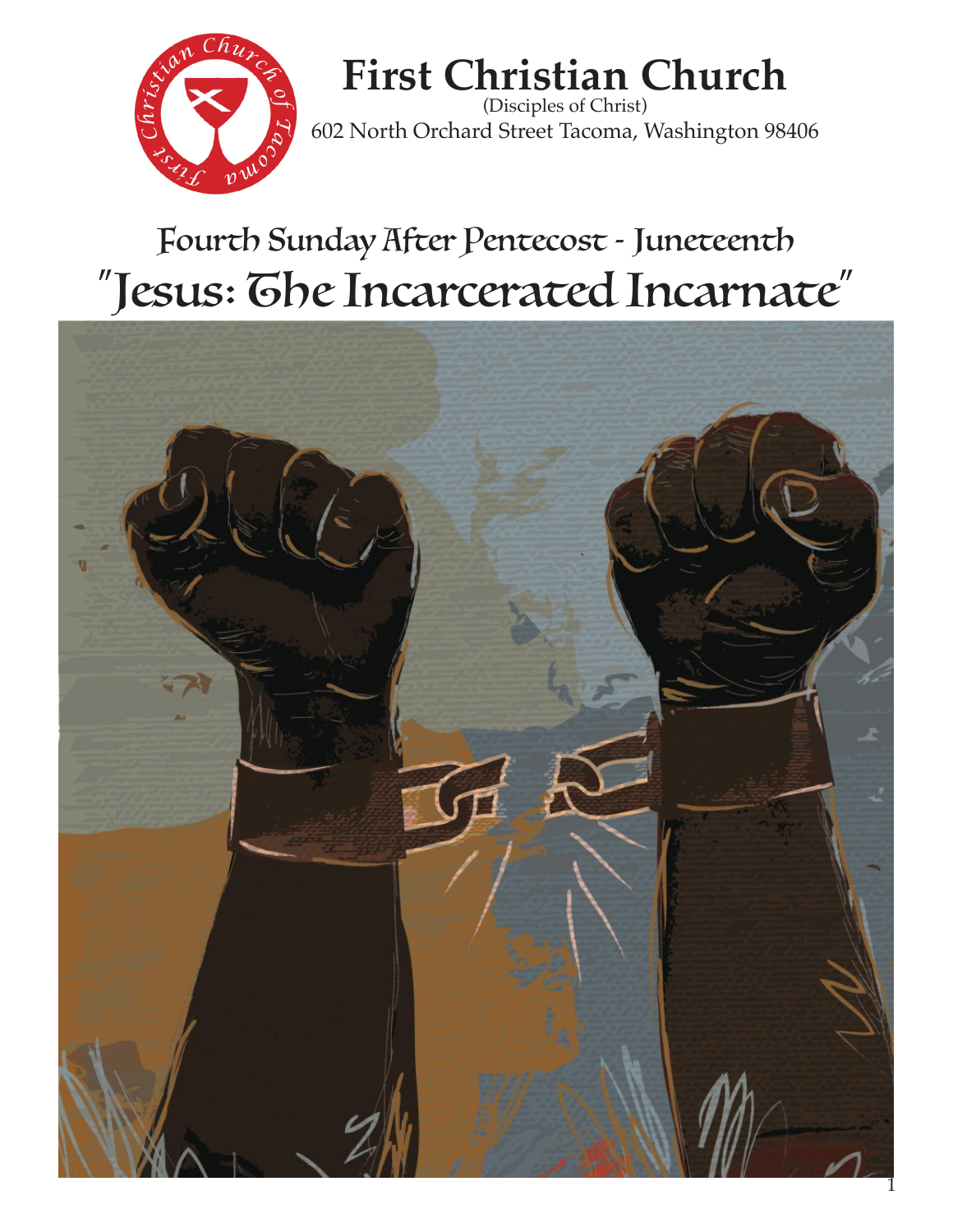

# **First Christian Church**

(Disciples of Christ) 602 North Orchard Street Tacoma, Washington 98406

# Fourth Sunday After Pentecost - Juneteenth "Jesus: The Incarcerated Incarnate"

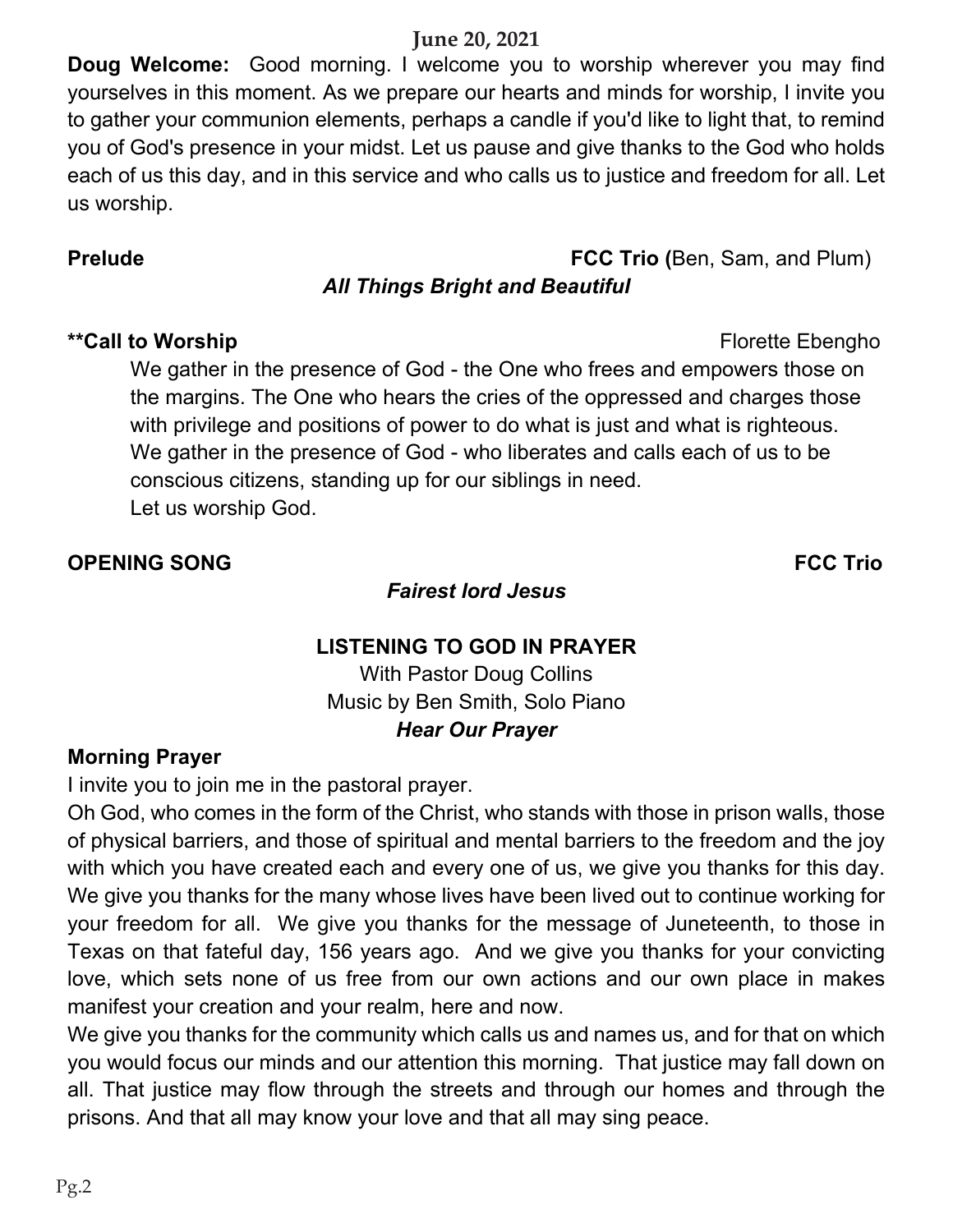#### **June 20, 2021**

**Doug Welcome:** Good morning. I welcome you to worship wherever you may find yourselves in this moment. As we prepare our hearts and minds for worship, I invite you to gather your communion elements, perhaps a candle if you'd like to light that, to remind you of God's presence in your midst. Let us pause and give thanks to the God who holds each of us this day, and in this service and who calls us to justice and freedom for all. Let us worship.

#### **Prelude FCC Trio (**Ben, Sam, and Plum)

## *All Things Bright and Beautiful*

#### \*\*Call to Worship **Florette** Ebengho

We gather in the presence of God - the One who frees and empowers those on the margins. The One who hears the cries of the oppressed and charges those with privilege and positions of power to do what is just and what is righteous. We gather in the presence of God - who liberates and calls each of us to be conscious citizens, standing up for our siblings in need. Let us worship God.

#### **OPENING SONG FCC Trio**

#### *Fairest lord Jesus*

# **LISTENING TO GOD IN PRAYER**

With Pastor Doug Collins Music by Ben Smith, Solo Piano *Hear Our Prayer*

#### **Morning Prayer**

I invite you to join me in the pastoral prayer.

Oh God, who comes in the form of the Christ, who stands with those in prison walls, those of physical barriers, and those of spiritual and mental barriers to the freedom and the joy with which you have created each and every one of us, we give you thanks for this day. We give you thanks for the many whose lives have been lived out to continue working for your freedom for all. We give you thanks for the message of Juneteenth, to those in Texas on that fateful day, 156 years ago. And we give you thanks for your convicting love, which sets none of us free from our own actions and our own place in makes manifest your creation and your realm, here and now.

We give you thanks for the community which calls us and names us, and for that on which you would focus our minds and our attention this morning. That justice may fall down on all. That justice may flow through the streets and through our homes and through the prisons. And that all may know your love and that all may sing peace.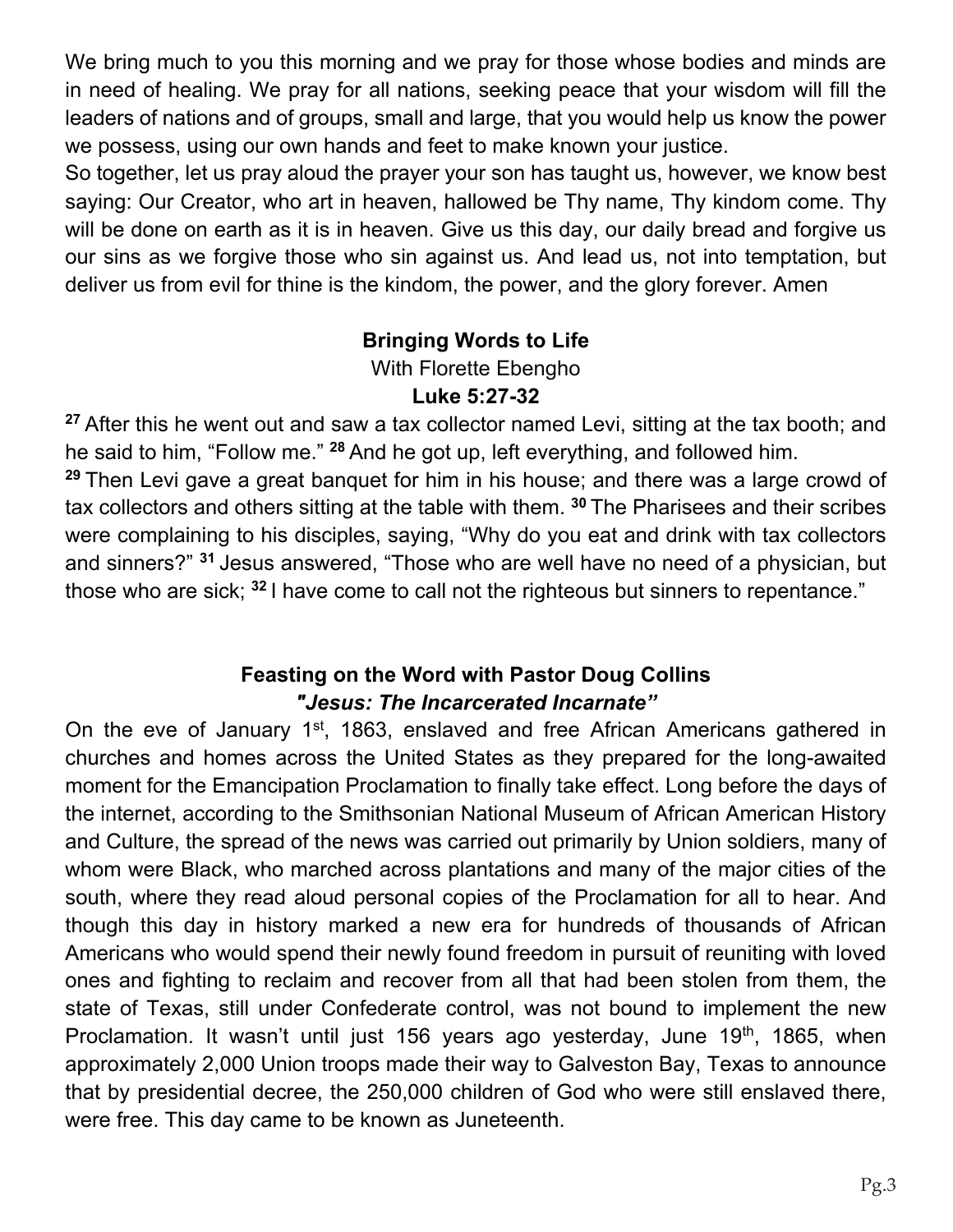We bring much to you this morning and we pray for those whose bodies and minds are in need of healing. We pray for all nations, seeking peace that your wisdom will fill the leaders of nations and of groups, small and large, that you would help us know the power we possess, using our own hands and feet to make known your justice.

So together, let us pray aloud the prayer your son has taught us, however, we know best saying: Our Creator, who art in heaven, hallowed be Thy name, Thy kindom come. Thy will be done on earth as it is in heaven. Give us this day, our daily bread and forgive us our sins as we forgive those who sin against us. And lead us, not into temptation, but deliver us from evil for thine is the kindom, the power, and the glory forever. Amen

#### **Bringing Words to Life**

With Florette Ebengho

#### **Luke 5:27-32**

<sup>27</sup> After this he went out and saw a tax collector named Levi, sitting at the tax booth; and he said to him, "Follow me." <sup>28</sup> And he got up, left everything, and followed him.

<sup>29</sup> Then Levi gave a great banguet for him in his house; and there was a large crowd of tax collectors and others sitting at the table with them. **<sup>30</sup>**The Pharisees and their scribes were complaining to his disciples, saying, "Why do you eat and drink with tax collectors and sinners?" <sup>31</sup> Jesus answered, "Those who are well have no need of a physician, but those who are sick; <sup>32</sup> I have come to call not the righteous but sinners to repentance."

#### **Feasting on the Word with Pastor Doug Collins** "Jesus: The Incarcerated Incarnate"

On the eve of January 1<sup>st</sup>, 1863, enslaved and free African Americans gathered in churches and homes across the United States as they prepared for the long-awaited moment for the Emancipation Proclamation to finally take effect. Long before the days of the internet, according to the Smithsonian National Museum of African American History and Culture, the spread of the news was carried out primarily by Union soldiers, many of whom were Black, who marched across plantations and many of the major cities of the south, where they read aloud personal copies of the Proclamation for all to hear. And though this day in history marked a new era for hundreds of thousands of African Americans who would spend their newly found freedom in pursuit of reuniting with loved ones and fighting to reclaim and recover from all that had been stolen from them, the state of Texas, still under Confederate control, was not bound to implement the new Proclamation. It wasn't until just 156 years ago yesterday, June  $19<sup>th</sup>$ , 1865, when approximately 2,000 Union troops made their way to Galveston Bay, Texas to announce that by presidential decree, the 250,000 children of God who were still enslaved there, were free. This day came to be known as Juneteenth.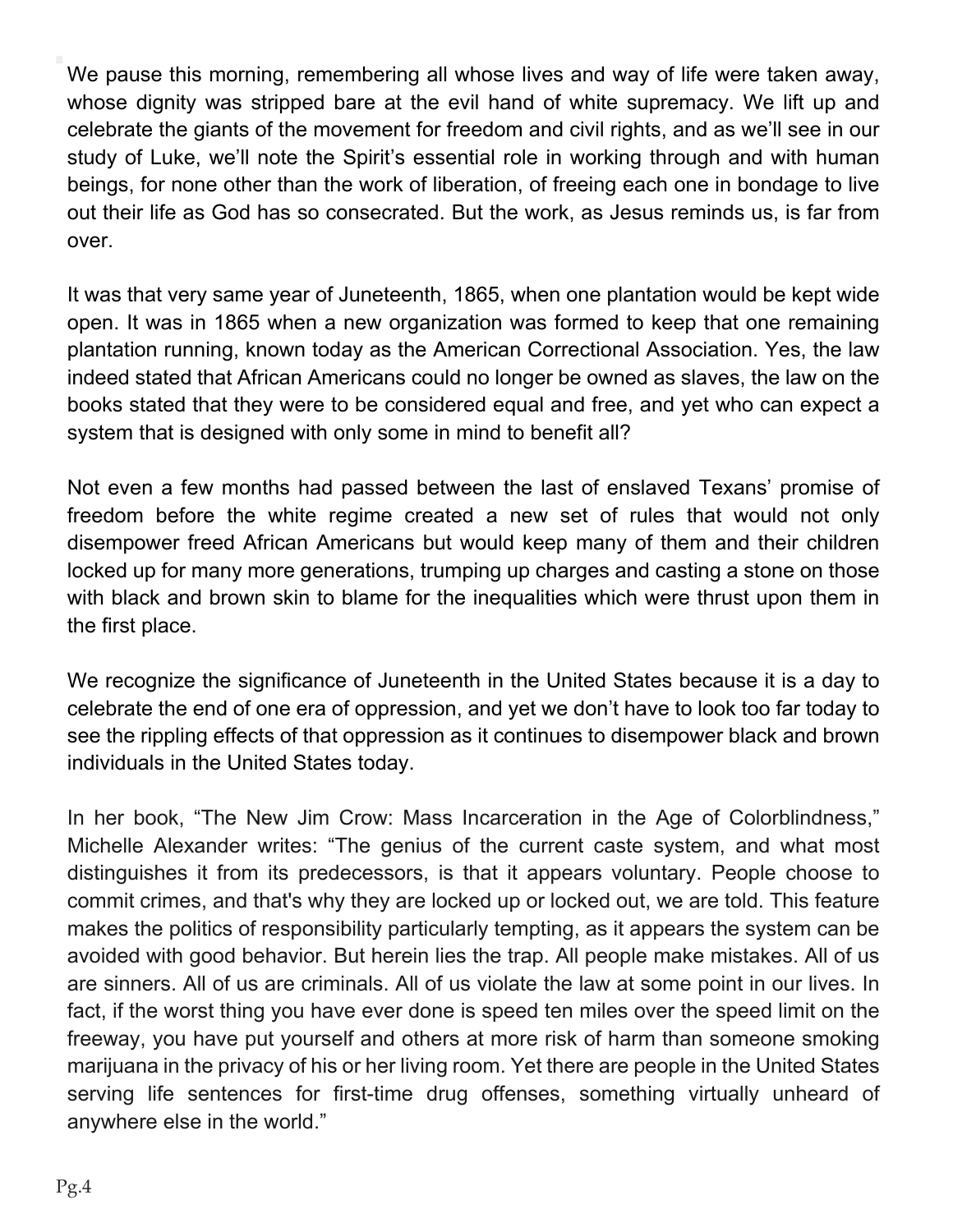We pause this morning, remembering all whose lives and way of life were taken away, whose dignity was stripped bare at the evil hand of white supremacy. We lift up and celebrate the giants of the movement for freedom and civil rights, and as we'll see in our study of Luke, we'll note the Spirit's essential role in working through and with human beings, for none other than the work of liberation, of freeing each one in bondage to live out their life as God has so consecrated. But the work, as Jesus reminds us, is far from over.

It was that very same year of Juneteenth, 165, when one plantation would be kept wide open. It was in 165 when a new organization was formed to keep that one remaining plantation running, known today as the American Correctional Association. Yes, the law indeed stated that African Americans could no longer be owned as slaves, the law on the books stated that they were to be considered equal and free, and yet who can expect a system that is designed with only some in mind to benefit all?

Not even a few months had passed between the last of enslaved Texans' promise of freedom before the white regime created a new set of rules that would not only disempower freed African Americans but would keep many of them and their children locked up for many more generations, trumping up charges and casting a stone on those with black and brown skin to blame for the inequalities which were thrust upon them in the first place.

We recognize the significance of Juneteenth in the United States because it is a day to celebrate the end of one era of oppression, and yet we don't have to look too far today to see the rippling effects of that oppression as it continues to disempower black and brown individuals in the United States today.

In her book, "The New Jim Crow: Mass Incarceration in the Age of Colorblindness," Michelle Alexander writes: "The genius of the current caste system, and what most distinguishes it from its predecessors, is that it appears voluntary. People choose to commit crimes, and that's why they are locked up or locked out, we are told. This feature makes the politics of responsibility particularly tempting, as it appears the system can be avoided with good behavior. But herein lies the trap. All people make mistakes. All of us are sinners. All of us are criminals. All of us violate the law at some point in our lives. In fact, if the worst thing you have ever done is speed ten miles over the speed limit on the freeway, you have put yourself and others at more risk of harm than someone smoking marijuana in the privacy of his or her living room. Yet there are people in the United States serving life sentences for first-time drug offenses, something virtually unheard of anywhere else in the world."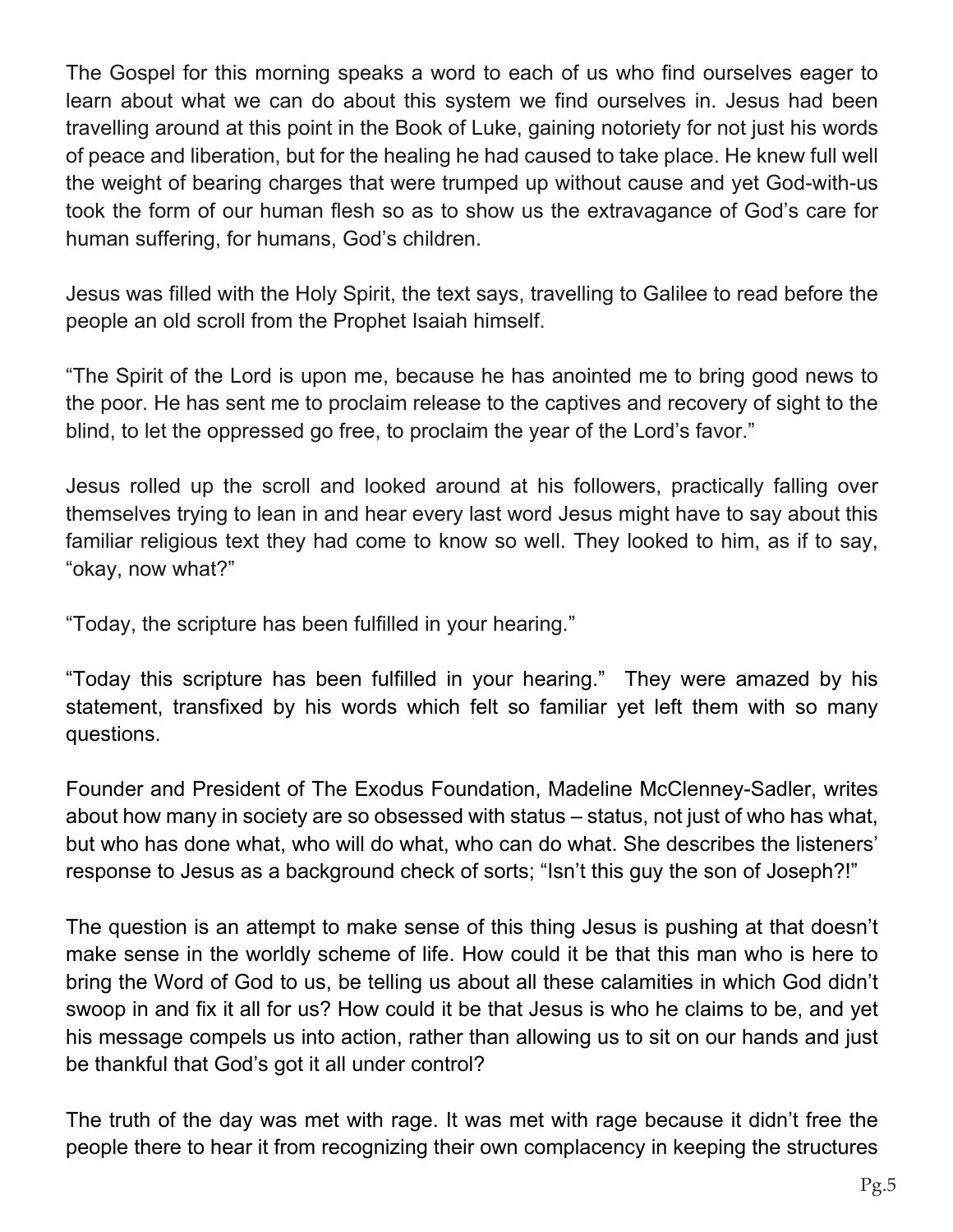The Gospel for this morning speaks a word to each of us who find ourselves eager to learn about what we can do about this system we find ourselves in. Jesus had been travelling around at this point in the Book of Luke, gaining notoriety for not just his words of peace and liberation, but for the healing he had caused to take place. He knew full well the weight of bearing charges that were trumped up without cause and yet God-with-us took the form of our human flesh so as to show us the extravagance of God's care for human suffering, for humans, God's children.

Jesus was filled with the Holy Spirit, the text says, travelling to Galilee to read before the people an old scroll from the Prophet Isaiah himself.

"The Spirit of the Lord is upon me, because he has anointed me to bring good news to the poor. He has sent me to proclaim release to the captives and recovery of sight to the blind, to let the oppressed go free, to proclaim the year of the Lord's favor."

Jesus rolled up the scroll and looked around at his followers, practically falling over themselves trying to lean in and hear every last word Jesus might have to say about this familiar religious text they had come to know so well. They looked to him, as if to say, "okay, now what?"

"Today, the scripture has been fulfilled in your hearing."

"Today this scripture has been fulfilled in your hearing." They were amazed by his statement, transfixed by his words which felt so familiar yet left them with so many questions.

Founder and President of The Exodus Foundation, Madeline McClenney-Sadler, writes about how many in society are so obsessed with status – status, not just of who has what, but who has done what, who will do what, who can do what. She describes the listeners' response to Jesus as a background check of sorts; "Isn't this guy the son of Joseph?!"

The question is an attempt to make sense of this thing Jesus is pushing at that doesn't make sense in the worldly scheme of life. How could it be that this man who is here to bring the Word of God to us, be telling us about all these calamities in which God didn't swoop in and fix it all for us? How could it be that Jesus is who he claims to be, and yet his message compels us into action, rather than allowing us to sit on our hands and just be thankful that God's got it all under control?

The truth of the day was met with rage. It was met with rage because it didn't free the people there to hear it from recognizing their own complacency in keeping the structures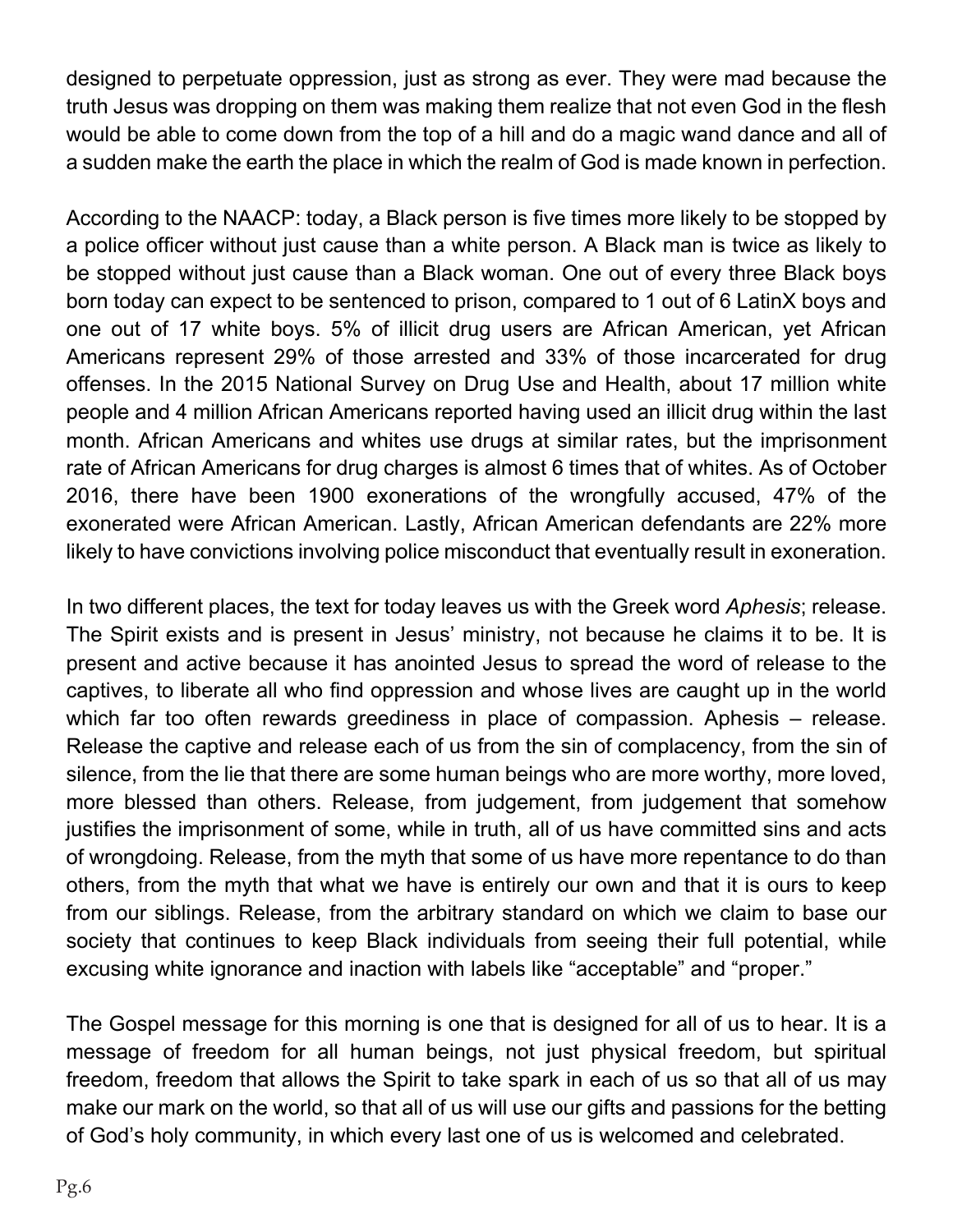designed to perpetuate oppression, just as strong as ever. They were mad because the truth Jesus was dropping on them was making them realize that not even God in the flesh would be able to come down from the top of a hill and do a magic wand dance and all of a sudden make the earth the place in which the realm of God is made known in perfection.

According to the NAACP: today, a Black person is five times more likely to be stopped by a police officer without just cause than a white person. A Black man is twice as likely to be stopped without just cause than a Black woman. One out of every three Black boys born today can expect to be sentenced to prison, compared to 1 out of 6 LatinX boys and one out of 17 white boys. 5% of illicit drug users are African American, yet African Americans represent 29% of those arrested and 33% of those incarcerated for drug offenses. In the 2015 National Survey on Drug Use and Health, about 17 million white people and 4 million African Americans reported having used an illicit drug within the last month. African Americans and whites use drugs at similar rates, but the imprisonment rate of African Americans for drug charges is almost 6 times that of whites. As of October 2016, there have been 1900 exonerations of the wrongfully accused, 47% of the exonerated were African American. Lastly, African American defendants are 22% more likely to have convictions involving police misconduct that eventually result in exoneration.

In two different places, the text for today leaves us with the Greek word *Aphesis*; release. The Spirit exists and is present in Jesus' ministry, not because he claims it to be. It is present and active because it has anointed Jesus to spread the word of release to the captives, to liberate all who find oppression and whose lives are caught up in the world which far too often rewards greediness in place of compassion. Aphesis  $-$  release. Release the captive and release each of us from the sin of complacency, from the sin of silence, from the lie that there are some human beings who are more worthy, more loved, more blessed than others. Release, from judgement, from judgement that somehow justifies the imprisonment of some, while in truth, all of us have committed sins and acts of wrongdoing. Release, from the myth that some of us have more repentance to do than others, from the myth that what we have is entirely our own and that it is ours to keep from our siblings. Release, from the arbitrary standard on which we claim to base our society that continues to keep Black individuals from seeing their full potential, while excusing white ignorance and inaction with labels like "acceptable" and "proper."

The Gospel message for this morning is one that is designed for all of us to hear. It is a message of freedom for all human beings, not just physical freedom, but spiritual freedom, freedom that allows the Spirit to take spark in each of us so that all of us may make our mark on the world, so that all of us will use our gifts and passions for the betting of God's holy community, in which every last one of us is welcomed and celebrated.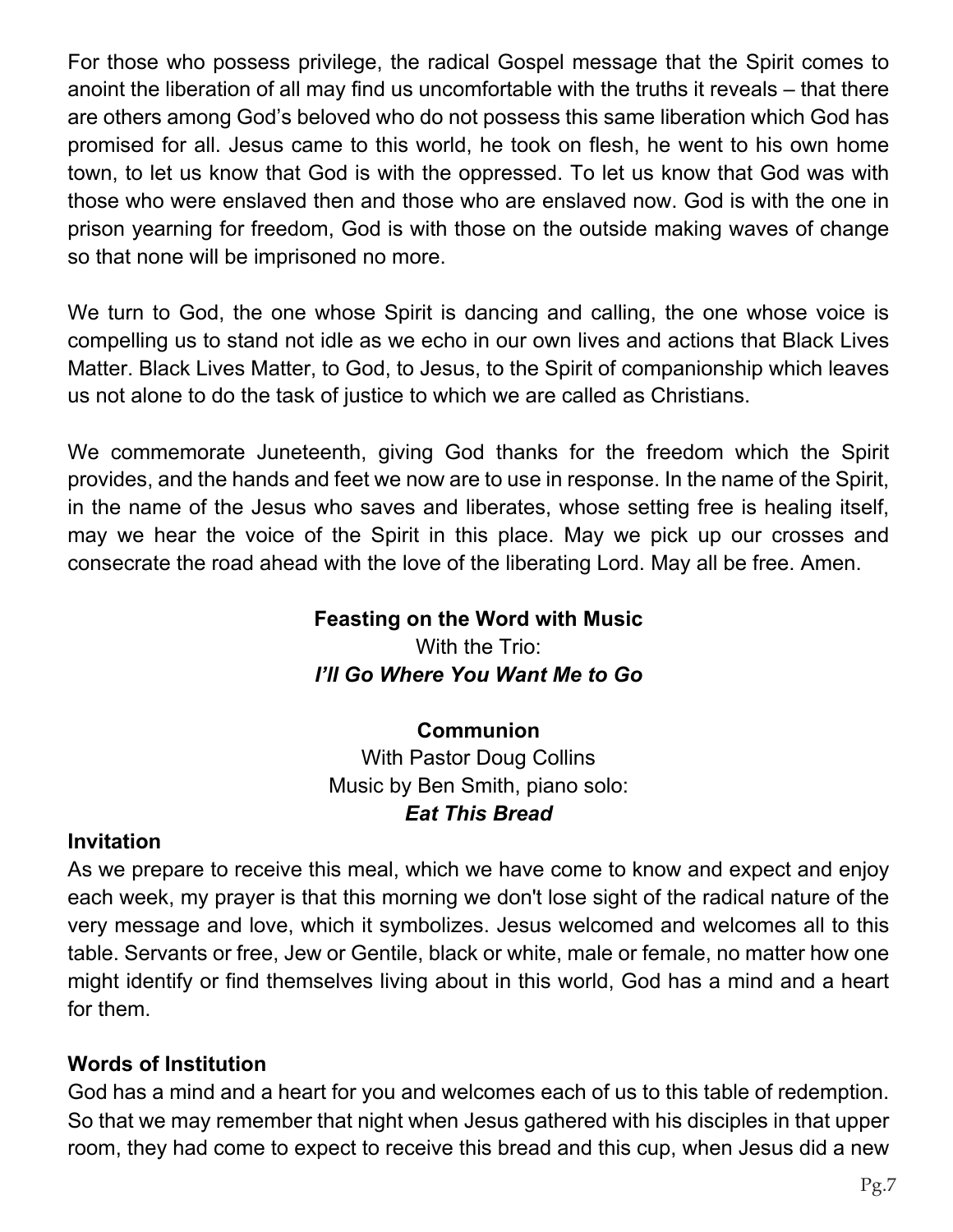For those who possess privilege, the radical Gospel message that the Spirit comes to anoint the liberation of all may find us uncomfortable with the truths it reveals – that there are others among God's beloved who do not possess this same liberation which God has promised for all. Jesus came to this world, he took on flesh, he went to his own home town, to let us know that God is with the oppressed. To let us know that God was with those who were enslaved then and those who are enslaved now. God is with the one in prison yearning for freedom, God is with those on the outside making waves of change so that none will be imprisoned no more.

We turn to God, the one whose Spirit is dancing and calling, the one whose voice is compelling us to stand not idle as we echo in our own lives and actions that Black Lives Matter. Black Lives Matter, to God, to Jesus, to the Spirit of companionship which leaves us not alone to do the task of justice to which we are called as Christians.

We commemorate Juneteenth, giving God thanks for the freedom which the Spirit provides, and the hands and feet we now are to use in response. In the name of the Spirit, in the name of the Jesus who saves and liberates, whose setting free is healing itself, may we hear the voice of the Spirit in this place. May we pick up our crosses and consecrate the road ahead with the love of the liberating Lord. May all be free. Amen.

#### **Feasting on the Word with Music** With the Trio: *l'II* Go Where You Want Me to Go

### **Communion**

With Pastor Doug Collins Music by Ben Smith, piano solo *Eat This Bread* 

#### **Invitation**

As we prepare to receive this meal, which we have come to know and expect and enjoy each week, my prayer is that this morning we don't lose sight of the radical nature of the very message and love, which it symbolizes. Jesus welcomed and welcomes all to this table. Servants or free, Jew or Gentile, black or white, male or female, no matter how one might identify or find themselves living about in this world, God has a mind and a heart for them.

### **Words of Institution**

God has a mind and a heart for you and welcomes each of us to this table of redemption. So that we may remember that night when Jesus gathered with his disciples in that upper room, they had come to expect to receive this bread and this cup, when Jesus did a new